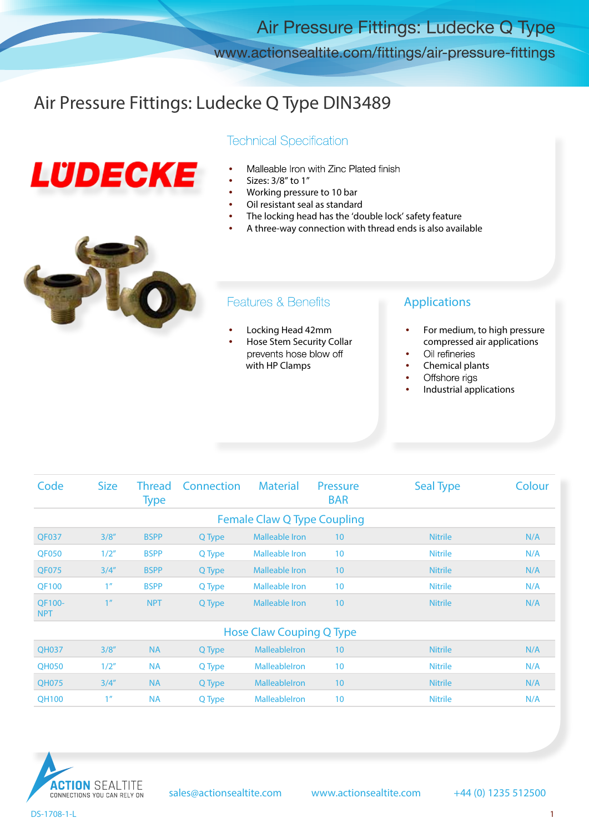Air Pressure Fittings: Ludecke Q Type

www.actionsealtite.com/fittings/air-pressure-fittings

### Air Pressure Fittings: Ludecke Q Type DIN3489

# LUDECKE

#### **Technical Specification**

- Malleable Iron with Zinc Plated finish<br>Sizes: 3/8" to 1"
- 
- Working pressure to 10 bar
- Oil resistant seal as standard
- The locking head has the 'double lock' safety feature
- A three-way connection with thread ends is also available



#### **Features & Benefits**

- Locking Head 42mm
- Hose Stem Security Collar<br>prevents hose blow off with HP Clamps

#### Applications

- For medium, to high pressure compressed air applications
- Oil refineries
- Chemical plants
- Offshore rigs
- Industrial applications

| Code                               | <b>Size</b>    | <b>Thread</b><br><b>Type</b> | Connection | <b>Material</b>       | <b>Pressure</b><br><b>BAR</b> | <b>Seal Type</b> | Colour |  |  |  |  |  |
|------------------------------------|----------------|------------------------------|------------|-----------------------|-------------------------------|------------------|--------|--|--|--|--|--|
| <b>Female Claw Q Type Coupling</b> |                |                              |            |                       |                               |                  |        |  |  |  |  |  |
| <b>QF037</b>                       | 3/8''          | <b>BSPP</b>                  | Q Type     | <b>Malleable Iron</b> | 10                            | <b>Nitrile</b>   | N/A    |  |  |  |  |  |
| <b>QF050</b>                       | 1/2"           | <b>BSPP</b>                  | Q Type     | <b>Malleable Iron</b> | 10                            | <b>Nitrile</b>   | N/A    |  |  |  |  |  |
| QF075                              | 3/4''          | <b>BSPP</b>                  | Q Type     | Malleable Iron        | 10                            | <b>Nitrile</b>   | N/A    |  |  |  |  |  |
| <b>QF100</b>                       | 1 <sup>n</sup> | <b>BSPP</b>                  | Q Type     | <b>Malleable Iron</b> | 10                            | <b>Nitrile</b>   | N/A    |  |  |  |  |  |
| QF100-<br><b>NPT</b>               | 1 <sup>n</sup> | NPT                          | Q Type     | <b>Malleable Iron</b> | 10                            | <b>Nitrile</b>   | N/A    |  |  |  |  |  |
| Hose Claw Couping Q Type           |                |                              |            |                       |                               |                  |        |  |  |  |  |  |
| <b>QH037</b>                       | 3/8''          | <b>NA</b>                    | Q Type     | Malleablelron         | 10                            | <b>Nitrile</b>   | N/A    |  |  |  |  |  |
| <b>QH050</b>                       | 1/2"           | <b>NA</b>                    | Q Type     | <b>Malleableiron</b>  | 10                            | <b>Nitrile</b>   | N/A    |  |  |  |  |  |
| <b>QH075</b>                       | 3/4''          | <b>NA</b>                    | Q Type     | <b>Malleableiron</b>  | 10                            | <b>Nitrile</b>   | N/A    |  |  |  |  |  |
| <b>QH100</b>                       | 1 <sup>n</sup> | <b>NA</b>                    | Q Type     | MalleableIron         | 10                            | <b>Nitrile</b>   | N/A    |  |  |  |  |  |